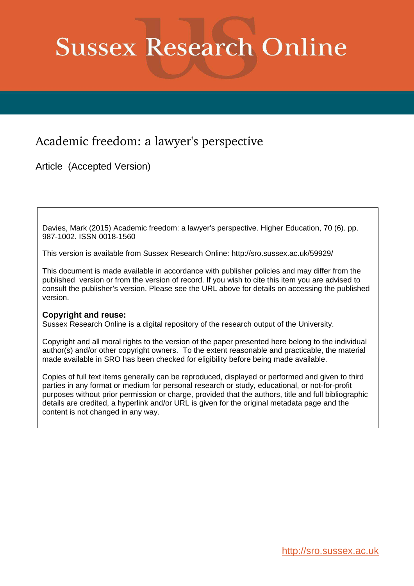# **Sussex Research Online**

# Academic freedom: a lawyer's perspective

Article (Accepted Version)

Davies, Mark (2015) Academic freedom: a lawyer's perspective. Higher Education, 70 (6). pp. 987-1002. ISSN 0018-1560

This version is available from Sussex Research Online: http://sro.sussex.ac.uk/59929/

This document is made available in accordance with publisher policies and may differ from the published version or from the version of record. If you wish to cite this item you are advised to consult the publisher's version. Please see the URL above for details on accessing the published version.

# **Copyright and reuse:**

Sussex Research Online is a digital repository of the research output of the University.

Copyright and all moral rights to the version of the paper presented here belong to the individual author(s) and/or other copyright owners. To the extent reasonable and practicable, the material made available in SRO has been checked for eligibility before being made available.

Copies of full text items generally can be reproduced, displayed or performed and given to third parties in any format or medium for personal research or study, educational, or not-for-profit purposes without prior permission or charge, provided that the authors, title and full bibliographic details are credited, a hyperlink and/or URL is given for the original metadata page and the content is not changed in any way.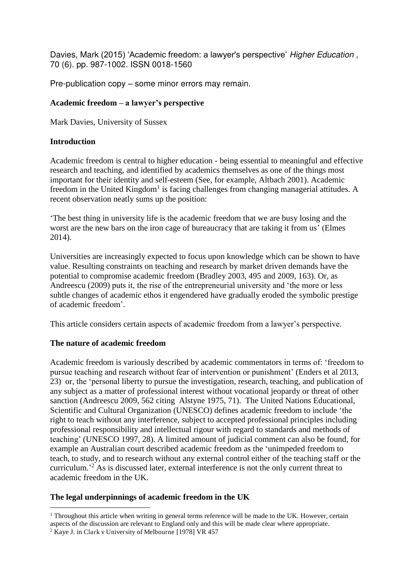Davies, Mark (2015) ['Academic freedom: a lawyer's perspective'](http://sro.sussex.ac.uk/53783/) *Higher Education* , 70 (6). pp. 987-1002. ISSN 0018-1560

Pre-publication copy – some minor errors may remain.

# **Academic freedom – a lawyer's perspective**

Mark Davies, University of Sussex

# **Introduction**

Academic freedom is central to higher education - being essential to meaningful and effective research and teaching, and identified by academics themselves as one of the things most important for their identity and self-esteem (See, for example, Altbach 2001). Academic freedom in the United Kingdom<sup>1</sup> is facing challenges from changing managerial attitudes. A recent observation neatly sums up the position:

'The best thing in university life is the academic freedom that we are busy losing and the worst are the new bars on the iron cage of bureaucracy that are taking it from us' (Elmes 2014).

Universities are increasingly expected to focus upon knowledge which can be shown to have value. Resulting constraints on teaching and research by market driven demands have the potential to compromise academic freedom (Bradley 2003, 495 and 2009, 163). Or, as Andreescu (2009) puts it, the rise of the entrepreneurial university and 'the more or less subtle changes of academic ethos it engendered have gradually eroded the symbolic prestige of academic freedom'.

This article considers certain aspects of academic freedom from a lawyer's perspective.

#### **The nature of academic freedom**

Academic freedom is variously described by academic commentators in terms of: 'freedom to pursue teaching and research without fear of intervention or punishment' (Enders et al 2013, 23) or, the 'personal liberty to pursue the investigation, research, teaching, and publication of any subject as a matter of professional interest without vocational jeopardy or threat of other sanction (Andreescu 2009, 562 citing Alstyne 1975, 71). The United Nations Educational, Scientific and Cultural Organization (UNESCO) defines academic freedom to include 'the right to teach without any interference, subject to accepted professional principles including professional responsibility and intellectual rigour with regard to standards and methods of teaching' (UNESCO 1997, 28). A limited amount of judicial comment can also be found, for example an Australian court described academic freedom as the 'unimpeded freedom to teach, to study, and to research without any external control either of the teaching staff or the curriculum.<sup>2</sup> As is discussed later, external interference is not the only current threat to academic freedom in the UK.

#### **The legal underpinnings of academic freedom in the UK**

<sup>-</sup><sup>1</sup> Throughout this article when writing in general terms reference will be made to the UK. However, certain aspects of the discussion are relevant to England only and this will be made clear where appropriate.

<sup>&</sup>lt;sup>2</sup> Kaye J. in Clark v University of Melbourne [1978] VR 457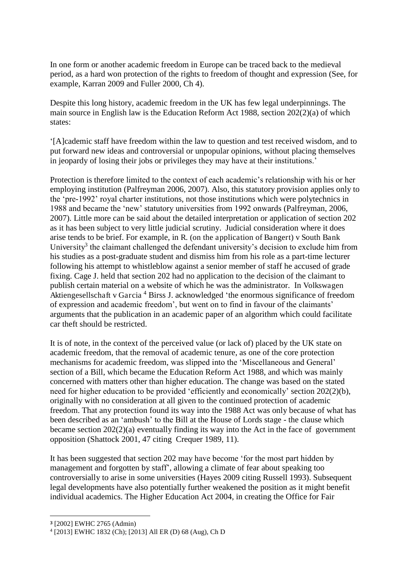In one form or another academic freedom in Europe can be traced back to the medieval period, as a hard won protection of the rights to freedom of thought and expression (See, for example, Karran 2009 and Fuller 2000, Ch 4).

Despite this long history, academic freedom in the UK has few legal underpinnings. The main source in English law is the Education Reform Act 1988, section 202(2)(a) of which states:

'[A]cademic staff have freedom within the law to question and test received wisdom, and to put forward new ideas and controversial or unpopular opinions, without placing themselves in jeopardy of losing their jobs or privileges they may have at their institutions.'

Protection is therefore limited to the context of each academic's relationship with his or her employing institution (Palfreyman 2006, 2007). Also, this statutory provision applies only to the 'pre-1992' royal charter institutions, not those institutions which were polytechnics in 1988 and became the 'new' statutory universities from 1992 onwards (Palfreyman, 2006, 2007). Little more can be said about the detailed interpretation or application of section 202 as it has been subject to very little judicial scrutiny. Judicial consideration where it does arise tends to be brief. For example, in R. (on the application of Bangert) v South Bank University<sup>3</sup> the claimant challenged the defendant university's decision to exclude him from his studies as a post-graduate student and dismiss him from his role as a part-time lecturer following his attempt to whistleblow against a senior member of staff he accused of grade fixing. Cage J. held that section 202 had no application to the decision of the claimant to publish certain material on a website of which he was the administrator. In Volkswagen Aktiengesellschaft v Garcia<sup>4</sup> Birss J. acknowledged 'the enormous significance of freedom of expression and academic freedom', but went on to find in favour of the claimants' arguments that the publication in an academic paper of an algorithm which could facilitate car theft should be restricted.

It is of note, in the context of the perceived value (or lack of) placed by the UK state on academic freedom, that the removal of academic tenure, as one of the core protection mechanisms for academic freedom, was slipped into the 'Miscellaneous and General' section of a Bill, which became the Education Reform Act 1988, and which was mainly concerned with matters other than higher education. The change was based on the stated need for higher education to be provided 'efficiently and economically' section 202(2)(b), originally with no consideration at all given to the continued protection of academic freedom. That any protection found its way into the 1988 Act was only because of what has been described as an 'ambush' to the Bill at the House of Lords stage - the clause which became section 202(2)(a) eventually finding its way into the Act in the face of government opposition (Shattock 2001, 47 citing Crequer 1989, 11).

It has been suggested that section 202 may have become 'for the most part hidden by management and forgotten by staff', allowing a climate of fear about speaking too controversially to arise in some universities (Hayes 2009 citing Russell 1993). Subsequent legal developments have also potentially further weakened the position as it might benefit individual academics. The Higher Education Act 2004, in creating the Office for Fair

**<sup>3</sup>** [\[2002\] EWHC 2765 \(Admin\)](http://login.westlaw.co.uk.ezproxy.sussex.ac.uk/maf/wluk/app/document?src=doc&linktype=ref&context=55&crumb-action=replace&docguid=I75233F80E42811DA8FC2A0F0355337E9) 

<sup>4</sup> [2013] EWHC 1832 (Ch); [2013] All ER (D) 68 (Aug), Ch D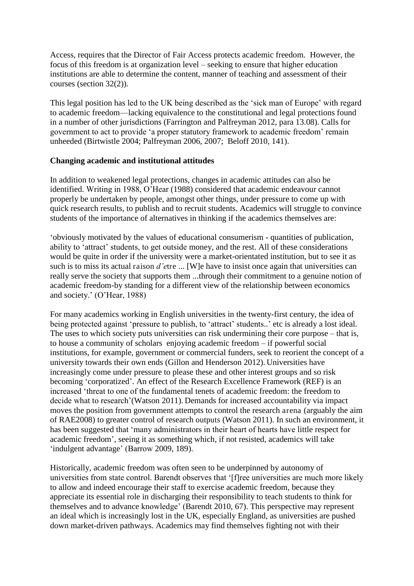Access, requires that the Director of Fair Access protects academic freedom. However, the focus of this freedom is at organization level – seeking to ensure that higher education institutions are able to determine the content, manner of teaching and assessment of their courses (section 32(2)).

This legal position has led to the UK being described as the 'sick man of Europe' with regard to academic freedom—lacking equivalence to the constitutional and legal protections found in a number of other jurisdictions (Farrington and Palfreyman 2012, para 13.08). Calls for government to act to provide 'a proper statutory framework to academic freedom' remain unheeded (Birtwistle 2004; Palfreyman 2006, 2007; Beloff 2010, 141).

#### **Changing academic and institutional attitudes**

In addition to weakened legal protections, changes in academic attitudes can also be identified. Writing in 1988, O'Hear (1988) considered that academic endeavour cannot properly be undertaken by people, amongst other things, under pressure to come up with quick research results, to publish and to recruit students. Academics will struggle to convince students of the importance of alternatives in thinking if the academics themselves are:

'obviously motivated by the values of educational consumerism - quantities of publication, ability to 'attract' students, to get outside money, and the rest. All of these considerations would be quite in order if the university were a market-orientated institution, but to see it as such is to miss its actual raison *d'e*tre ... [W]e have to insist once again that universities can really serve the society that supports them ...through their commitment to a genuine notion of academic freedom-by standing for a different view of the relationship between economics and society.' (O'Hear, 1988)

For many academics working in English universities in the twenty-first century, the idea of being protected against 'pressure to publish, to 'attract' students..' etc is already a lost ideal. The uses to which society puts universities can risk undermining their core purpose – that is, to house a community of scholars enjoying academic freedom – if powerful social institutions, for example, government or commercial funders, seek to reorient the concept of a university towards their own ends (Gillon and Henderson 2012). Universities have increasingly come under pressure to please these and other interest groups and so risk becoming 'corporatized'. An effect of the Research Excellence Framework (REF) is an increased 'threat to one of the fundamental tenets of academic freedom: the freedom to decide what to research'(Watson 2011). Demands for increased accountability via impact moves the position from government attempts to control the research arena (arguably the aim of RAE2008) to greater control of research outputs (Watson 2011). In such an environment, it has been suggested that 'many administrators in their heart of hearts have little respect for academic freedom', seeing it as something which, if not resisted, academics will take 'indulgent advantage' (Barrow 2009, 189).

Historically, academic freedom was often seen to be underpinned by autonomy of universities from state control. Barendt observes that '[f]ree universities are much more likely to allow and indeed encourage their staff to exercise academic freedom, because they appreciate its essential role in discharging their responsibility to teach students to think for themselves and to advance knowledge' (Barendt 2010, 67). This perspective may represent an ideal which is increasingly lost in the UK, especially England, as universities are pushed down market-driven pathways. Academics may find themselves fighting not with their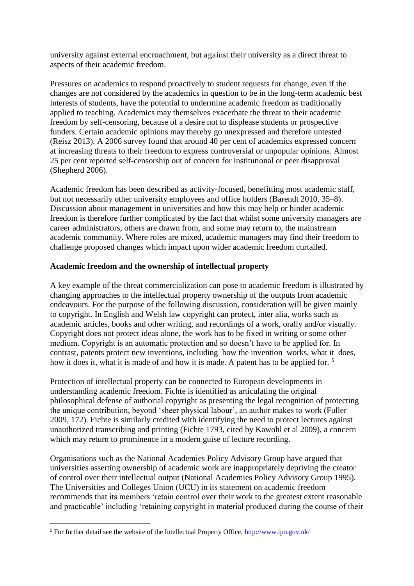university against external encroachment, but against their university as a direct threat to aspects of their academic freedom.

Pressures on academics to respond proactively to student requests for change, even if the changes are not considered by the academics in question to be in the long-term academic best interests of students, have the potential to undermine academic freedom as traditionally applied to teaching. Academics may themselves exacerbate the threat to their academic freedom by self-censoring, because of a desire not to displease students or prospective funders. Certain academic opinions may thereby go unexpressed and therefore untested (Reisz 2013). A 2006 survey found that around 40 per cent of academics expressed concern at increasing threats to their freedom to express controversial or unpopular opinions. Almost 25 per cent reported self-censorship out of concern for institutional or peer disapproval (Shepherd 2006).

Academic freedom has been described as activity-focused, benefitting most academic staff, but not necessarily other university employees and office holders (Barendt 2010, 35–8). Discussion about management in universities and how this may help or hinder academic freedom is therefore further complicated by the fact that whilst some university managers are career administrators, others are drawn from, and some may return to, the mainstream academic community. Where roles are mixed, academic managers may find their freedom to challenge proposed changes which impact upon wider academic freedom curtailed.

# **Academic freedom and the ownership of intellectual property**

A key example of the threat commercialization can pose to academic freedom is illustrated by changing approaches to the intellectual property ownership of the outputs from academic endeavours. For the purpose of the following discussion, consideration will be given mainly to copyright. In English and Welsh law copyright can protect, inter alia, works such as academic articles, books and other writing, and recordings of a work, orally and/or visually. Copyright does not protect ideas alone, the work has to be fixed in writing or some other medium. Copyright is an automatic protection and so doesn't have to be applied for. In contrast, patents protect new inventions, including how the invention works, what it does, how it does it, what it is made of and how it is made. A patent has to be applied for.<sup>5</sup>

Protection of intellectual property can be connected to European developments in understanding academic freedom. Fichte is identified as articulating the original philosophical defense of authorial copyright as presenting the legal recognition of protecting the unique contribution, beyond 'sheer physical labour', an author makes to work (Fuller 2009, 172). Fichte is similarly credited with identifying the need to protect lectures against unauthorized transcribing and printing (Fichte 1793, cited by Kawohl et al 2009), a concern which may return to prominence in a modern guise of lecture recording.

Organisations such as the National Academies Policy Advisory Group have argued that universities asserting ownership of academic work are inappropriately depriving the creator of control over their intellectual output (National Academies Policy Advisory Group 1995). The Universities and Colleges Union (UCU) in its statement on academic freedom recommends that its members 'retain control over their work to the greatest extent reasonable and practicable' including 'retaining copyright in material produced during the course of their

<sup>&</sup>lt;sup>5</sup> For further detail see the website of the Intellectual Property Office, http://www.ipo.gov.uk/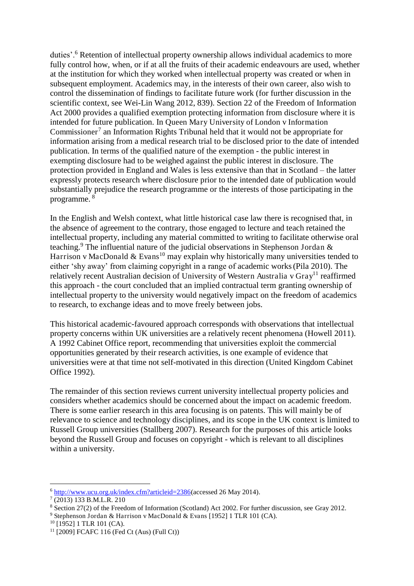duties'.<sup>6</sup> Retention of intellectual property ownership allows individual academics to more fully control how, when, or if at all the fruits of their academic endeavours are used, whether at the institution for which they worked when intellectual property was created or when in subsequent employment. Academics may, in the interests of their own career, also wish to control the dissemination of findings to facilitate future work (for further discussion in the scientific context, see Wei-Lin Wang 2012, 839). Section 22 of the Freedom of Information Act 2000 provides a qualified exemption protecting information from disclosure where it is intended for future publication. In Queen Mary University of London v Information Commissioner<sup>7</sup> an Information Rights Tribunal held that it would not be appropriate for information arising from a medical research trial to be disclosed prior to the date of intended publication. In terms of the qualified nature of the exemption - the public interest in exempting disclosure had to be weighed against the public interest in disclosure. The protection provided in England and Wales is less extensive than that in Scotland – the latter expressly protects research where disclosure prior to the intended date of publication would substantially prejudice the research programme or the interests of those participating in the programme.<sup>8</sup>

In the English and Welsh context, what little historical case law there is recognised that, in the absence of agreement to the contrary, those engaged to lecture and teach retained the intellectual property, including any material committed to writing to facilitate otherwise oral teaching.<sup>9</sup> The influential nature of the judicial observations in Stephenson Jordan & Harrison v MacDonald & Evans<sup>10</sup> may explain why historically many universities tended to either 'shy away' from claiming copyright in a range of academic works(Pila 2010). The relatively recent Australian decision of University of Western Australia v Gray<sup>11</sup> reaffirmed this approach - the court concluded that an implied contractual term granting ownership of intellectual property to the university would negatively impact on the freedom of academics to research, to exchange ideas and to move freely between jobs.

This historical academic-favoured approach corresponds with observations that intellectual property concerns within UK universities are a relatively recent phenomena (Howell 2011). A 1992 Cabinet Office report, recommending that universities exploit the commercial opportunities generated by their research activities, is one example of evidence that universities were at that time not self-motivated in this direction (United Kingdom Cabinet Office 1992).

The remainder of this section reviews current university intellectual property policies and considers whether academics should be concerned about the impact on academic freedom. There is some earlier research in this area focusing is on patents. This will mainly be of relevance to science and technology disciplines, and its scope in the UK context is limited to Russell Group universities (Stallberg 2007). Research for the purposes of this article looks beyond the Russell Group and focuses on copyright - which is relevant to all disciplines within a university.

<sup>&</sup>lt;sup>6</sup> [http://www.ucu.org.uk/index.cfm?articleid=2386\(](http://www.ucu.org.uk/index.cfm?articleid=2386)accessed 26 May 2014).

<sup>7</sup> (2013) 133 B.M.L.R. 210

<sup>&</sup>lt;sup>8</sup> Section 27(2) of the Freedom of Information (Scotland) Act 2002. For further discussion, see Gray 2012.

<sup>9</sup> Stephenson Jordan & Harrison v MacDonald & Evans [1952] 1 TLR 101 (CA).

<sup>10</sup> [1952] 1 TLR 101 (CA).

<sup>11</sup> [2009] FCAFC 116 (Fed Ct (Aus) (Full Ct))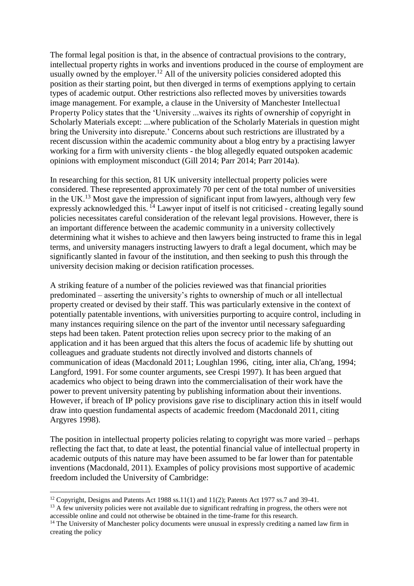The formal legal position is that, in the absence of contractual provisions to the contrary, intellectual property rights in works and inventions produced in the course of employment are usually owned by the employer.<sup>12</sup> All of the university policies considered adopted this position as their starting point, but then diverged in terms of exemptions applying to certain types of academic output. Other restrictions also reflected moves by universities towards image management. For example, a clause in the University of Manchester Intellectual Property Policy states that the 'University ...waives its rights of ownership of copyright in Scholarly Materials except: ...where publication of the Scholarly Materials in question might bring the University into disrepute.' Concerns about such restrictions are illustrated by a recent discussion within the academic community about a blog entry by a practising lawyer working for a firm with university clients - the blog allegedly equated outspoken academic opinions with employment misconduct (Gill 2014; Parr 2014; Parr 2014a).

In researching for this section, 81 UK university intellectual property policies were considered. These represented approximately 70 per cent of the total number of universities in the UK.<sup>13</sup> Most gave the impression of significant input from lawyers, although very few expressly acknowledged this. <sup>14</sup> Lawyer input of itself is not criticised - creating legally sound policies necessitates careful consideration of the relevant legal provisions. However, there is an important difference between the academic community in a university collectively determining what it wishes to achieve and then lawyers being instructed to frame this in legal terms, and university managers instructing lawyers to draft a legal document, which may be significantly slanted in favour of the institution, and then seeking to push this through the university decision making or decision ratification processes.

A striking feature of a number of the policies reviewed was that financial priorities predominated – asserting the university's rights to ownership of much or all intellectual property created or devised by their staff. This was particularly extensive in the context of potentially patentable inventions, with universities purporting to acquire control, including in many instances requiring silence on the part of the inventor until necessary safeguarding steps had been taken. Patent protection relies upon secrecy prior to the making of an application and it has been argued that this alters the focus of academic life by shutting out colleagues and graduate students not directly involved and distorts channels of communication of ideas (Macdonald 2011; Loughlan 1996, citing, inter alia, Ch'ang, 1994; Langford, 1991. For some counter arguments, see Crespi 1997). It has been argued that academics who object to being drawn into the commercialisation of their work have the power to prevent university patenting by publishing information about their inventions. However, if breach of IP policy provisions gave rise to disciplinary action this in itself would draw into question fundamental aspects of academic freedom (Macdonald 2011, citing Argyres 1998).

The position in intellectual property policies relating to copyright was more varied – perhaps reflecting the fact that, to date at least, the potential financial value of intellectual property in academic outputs of this nature may have been assumed to be far lower than for patentable inventions (Macdonald, 2011). Examples of policy provisions most supportive of academic freedom included the University of Cambridge:

<sup>&</sup>lt;sup>12</sup> Copyright, Designs and Patents Act 1988 ss.11(1) and 11(2); Patents Act 1977 ss.7 and 39-41.

<sup>&</sup>lt;sup>13</sup> A few university policies were not available due to significant redrafting in progress, the others were not accessible online and could not otherwise be obtained in the time-frame for this research.

 $14$  The University of Manchester policy documents were unusual in expressly crediting a named law firm in creating the policy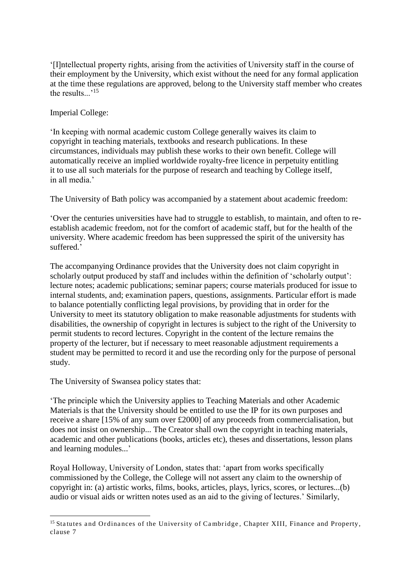'[I]ntellectual property rights, arising from the activities of University staff in the course of their employment by the University, which exist without the need for any formal application at the time these regulations are approved, belong to the University staff member who creates the results...'<sup>15</sup>

Imperial College:

'In keeping with normal academic custom College generally waives its claim to copyright in teaching materials, textbooks and research publications. In these circumstances, individuals may publish these works to their own benefit. College will automatically receive an implied worldwide royalty-free licence in perpetuity entitling it to use all such materials for the purpose of research and teaching by College itself, in all media.'

The University of Bath policy was accompanied by a statement about academic freedom:

'Over the centuries universities have had to struggle to establish, to maintain, and often to reestablish academic freedom, not for the comfort of academic staff, but for the health of the university. Where academic freedom has been suppressed the spirit of the university has suffered.'

The accompanying Ordinance provides that the University does not claim copyright in scholarly output produced by staff and includes within the definition of 'scholarly output': lecture notes; academic publications; seminar papers; course materials produced for issue to internal students, and; examination papers, questions, assignments. Particular effort is made to balance potentially conflicting legal provisions, by providing that in order for the University to meet its statutory obligation to make reasonable adjustments for students with disabilities, the ownership of copyright in lectures is subject to the right of the University to permit students to record lectures. Copyright in the content of the lecture remains the property of the lecturer, but if necessary to meet reasonable adjustment requirements a student may be permitted to record it and use the recording only for the purpose of personal study.

The University of Swansea policy states that:

'The principle which the University applies to Teaching Materials and other Academic Materials is that the University should be entitled to use the IP for its own purposes and receive a share [15% of any sum over £2000] of any proceeds from commercialisation, but does not insist on ownership... The Creator shall own the copyright in teaching materials, academic and other publications (books, articles etc), theses and dissertations, lesson plans and learning modules...'

Royal Holloway, University of London, states that: 'apart from works specifically commissioned by the College, the College will not assert any claim to the ownership of copyright in: (a) artistic works, films, books, articles, plays, lyrics, scores, or lectures...(b) audio or visual aids or written notes used as an aid to the giving of lectures.' Similarly,

<sup>&</sup>lt;u>.</u>  $15$  Statutes and Ordinances of the University of Cambridge, Chapter XIII, Finance and Property, clause 7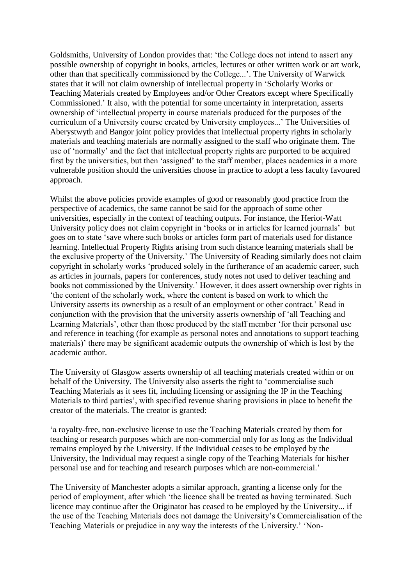Goldsmiths, University of London provides that: 'the College does not intend to assert any possible ownership of copyright in books, articles, lectures or other written work or art work, other than that specifically commissioned by the College...'. The University of Warwick states that it will not claim ownership of intellectual property in 'Scholarly Works or Teaching Materials created by Employees and/or Other Creators except where Specifically Commissioned.' It also, with the potential for some uncertainty in interpretation, asserts ownership of 'intellectual property in course materials produced for the purposes of the curriculum of a University course created by University employees...' The Universities of Aberystwyth and Bangor joint policy provides that intellectual property rights in scholarly materials and teaching materials are normally assigned to the staff who originate them. The use of 'normally' and the fact that intellectual property rights are purported to be acquired first by the universities, but then 'assigned' to the staff member, places academics in a more vulnerable position should the universities choose in practice to adopt a less faculty favoured approach.

Whilst the above policies provide examples of good or reasonably good practice from the perspective of academics, the same cannot be said for the approach of some other universities, especially in the context of teaching outputs. For instance, the Heriot-Watt University policy does not claim copyright in 'books or in articles for learned journals' but goes on to state 'save where such books or articles form part of materials used for distance learning. Intellectual Property Rights arising from such distance learning materials shall be the exclusive property of the University.' The University of Reading similarly does not claim copyright in scholarly works 'produced solely in the furtherance of an academic career, such as articles in journals, papers for conferences, study notes not used to deliver teaching and books not commissioned by the University.' However, it does assert ownership over rights in 'the content of the scholarly work, where the content is based on work to which the University asserts its ownership as a result of an employment or other contract.' Read in conjunction with the provision that the university asserts ownership of 'all Teaching and Learning Materials', other than those produced by the staff member 'for their personal use and reference in teaching (for example as personal notes and annotations to support teaching materials)' there may be significant academic outputs the ownership of which is lost by the academic author.

The University of Glasgow asserts ownership of all teaching materials created within or on behalf of the University. The University also asserts the right to 'commercialise such Teaching Materials as it sees fit, including licensing or assigning the IP in the Teaching Materials to third parties', with specified revenue sharing provisions in place to benefit the creator of the materials. The creator is granted:

'a royalty-free, non-exclusive license to use the Teaching Materials created by them for teaching or research purposes which are non-commercial only for as long as the Individual remains employed by the University. If the Individual ceases to be employed by the University, the Individual may request a single copy of the Teaching Materials for his/her personal use and for teaching and research purposes which are non-commercial.'

The University of Manchester adopts a similar approach, granting a license only for the period of employment, after which 'the licence shall be treated as having terminated. Such licence may continue after the Originator has ceased to be employed by the University... if the use of the Teaching Materials does not damage the University's Commercialisation of the Teaching Materials or prejudice in any way the interests of the University.' 'Non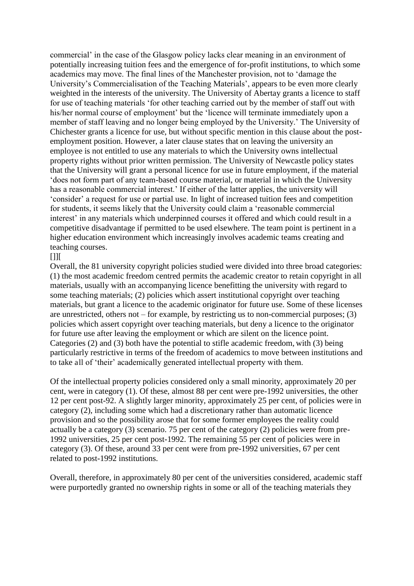commercial' in the case of the Glasgow policy lacks clear meaning in an environment of potentially increasing tuition fees and the emergence of for-profit institutions, to which some academics may move. The final lines of the Manchester provision, not to 'damage the University's Commercialisation of the Teaching Materials', appears to be even more clearly weighted in the interests of the university. The University of Abertay grants a licence to staff for use of teaching materials 'for other teaching carried out by the member of staff out with his/her normal course of employment' but the 'licence will terminate immediately upon a member of staff leaving and no longer being employed by the University.' The University of Chichester grants a licence for use, but without specific mention in this clause about the postemployment position. However, a later clause states that on leaving the university an employee is not entitled to use any materials to which the University owns intellectual property rights without prior written permission. The University of Newcastle policy states that the University will grant a personal licence for use in future employment, if the material 'does not form part of any team-based course material, or material in which the University has a reasonable commercial interest.' If either of the latter applies, the university will 'consider' a request for use or partial use. In light of increased tuition fees and competition for students, it seems likely that the University could claim a 'reasonable commercial interest' in any materials which underpinned courses it offered and which could result in a competitive disadvantage if permitted to be used elsewhere. The team point is pertinent in a higher education environment which increasingly involves academic teams creating and teaching courses.

#### $[1]$

Overall, the 81 university copyright policies studied were divided into three broad categories: (1) the most academic freedom centred permits the academic creator to retain copyright in all materials, usually with an accompanying licence benefitting the university with regard to some teaching materials; (2) policies which assert institutional copyright over teaching materials, but grant a licence to the academic originator for future use. Some of these licenses are unrestricted, others not – for example, by restricting us to non-commercial purposes; (3) policies which assert copyright over teaching materials, but deny a licence to the originator for future use after leaving the employment or which are silent on the licence point. Categories (2) and (3) both have the potential to stifle academic freedom, with (3) being particularly restrictive in terms of the freedom of academics to move between institutions and to take all of 'their' academically generated intellectual property with them.

Of the intellectual property policies considered only a small minority, approximately 20 per cent, were in category (1). Of these, almost 88 per cent were pre-1992 universities, the other 12 per cent post-92. A slightly larger minority, approximately 25 per cent, of policies were in category (2), including some which had a discretionary rather than automatic licence provision and so the possibility arose that for some former employees the reality could actually be a category (3) scenario. 75 per cent of the category (2) policies were from pre-1992 universities, 25 per cent post-1992. The remaining 55 per cent of policies were in category (3). Of these, around 33 per cent were from pre-1992 universities, 67 per cent related to post-1992 institutions.

Overall, therefore, in approximately 80 per cent of the universities considered, academic staff were purportedly granted no ownership rights in some or all of the teaching materials they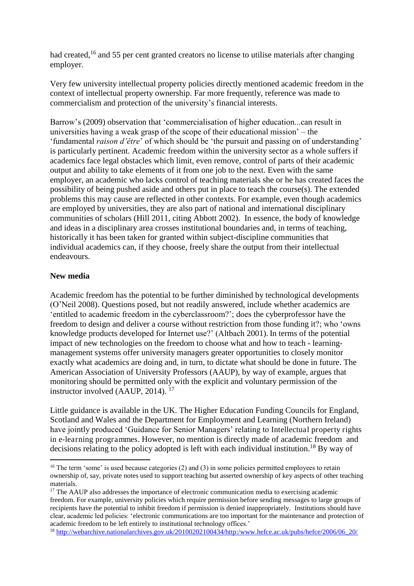had created,<sup>16</sup> and 55 per cent granted creators no license to utilise materials after changing employer.

Very few university intellectual property policies directly mentioned academic freedom in the context of intellectual property ownership. Far more frequently, reference was made to commercialism and protection of the university's financial interests.

Barrow's (2009) observation that 'commercialisation of higher education...can result in universities having a weak grasp of the scope of their educational mission'  $-$  the 'fundamental *raison d'être*' of which should be 'the pursuit and passing on of understanding' is particularly pertinent. Academic freedom within the university sector as a whole suffers if academics face legal obstacles which limit, even remove, control of parts of their academic output and ability to take elements of it from one job to the next. Even with the same employer, an academic who lacks control of teaching materials she or he has created faces the possibility of being pushed aside and others put in place to teach the course(s). The extended problems this may cause are reflected in other contexts. For example, even though academics are employed by universities, they are also part of national and international disciplinary communities of scholars (Hill 2011, citing Abbott 2002). In essence, the body of knowledge and ideas in a disciplinary area crosses institutional boundaries and, in terms of teaching, historically it has been taken for granted within subject-discipline communities that individual academics can, if they choose, freely share the output from their intellectual endeavours.

### **New media**

-

Academic freedom has the potential to be further diminished by technological developments (O'Neil 2008). Questions posed, but not readily answered, include whether academics are 'entitled to academic freedom in the cyberclassroom?'; does the cyberprofessor have the freedom to design and deliver a course without restriction from those funding it?; who 'owns knowledge products developed for Internet use?' (Altbach 2001). In terms of the potential impact of new technologies on the freedom to choose what and how to teach - learningmanagement systems offer university managers greater opportunities to closely monitor exactly what academics are doing and, in turn, to dictate what should be done in future. The American Association of University Professors (AAUP), by way of example, argues that monitoring should be permitted only with the explicit and voluntary permission of the instructor involved  $(AAUP, 2014)$ . <sup>17</sup>

Little guidance is available in the UK. The Higher Education Funding Councils for England, Scotland and Wales and the Department for Employment and Learning (Northern Ireland) have jointly produced 'Guidance for Senior Managers' relating to Intellectual property rights in e-learning programmes. However, no mention is directly made of academic freedom and decisions relating to the policy adopted is left with each individual institution.<sup>18</sup> By way of

<sup>&</sup>lt;sup>16</sup> The term 'some' is used because categories (2) and (3) in some policies permitted employees to retain ownership of, say, private notes used to support teaching but asserted ownership of key aspects of other teaching materials.

<sup>&</sup>lt;sup>17</sup> The AAUP also addresses the importance of electronic communication media to exercising academic freedom. For example, university policies which require permission before sending messages to large groups of recipients have the potential to inhibit freedom if permission is denied inappropriately. Institutions should have clear, academic led policies: 'electronic communications are too important for the maintenance and protection of academic freedom to be left entirely to institutional technology offices.'

<sup>18</sup> [http://webarchive.nationalarchives.gov.uk/20100202100434/http:/www.hefce.ac.uk/pubs/hefce/2006/06\\_20/](http://webarchive.nationalarchives.gov.uk/20100202100434/http:/www.hefce.ac.uk/pubs/hefce/2006/06_20/)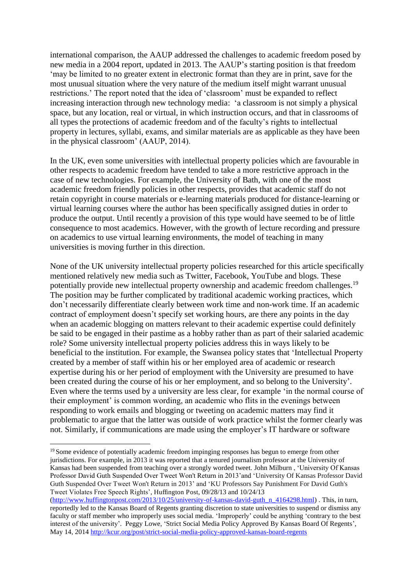international comparison, the AAUP addressed the challenges to academic freedom posed by new media in a 2004 report, updated in 2013. The AAUP's starting position is that freedom 'may be limited to no greater extent in electronic format than they are in print, save for the most unusual situation where the very nature of the medium itself might warrant unusual restrictions.' The report noted that the idea of 'classroom' must be expanded to reflect increasing interaction through new technology media: 'a classroom is not simply a physical space, but any location, real or virtual, in which instruction occurs, and that in classrooms of all types the protections of academic freedom and of the faculty's rights to intellectual property in lectures, syllabi, exams, and similar materials are as applicable as they have been in the physical classroom' (AAUP, 2014).

In the UK, even some universities with intellectual property policies which are favourable in other respects to academic freedom have tended to take a more restrictive approach in the case of new technologies. For example, the University of Bath, with one of the most academic freedom friendly policies in other respects, provides that academic staff do not retain copyright in course materials or e-learning materials produced for distance-learning or virtual learning courses where the author has been specifically assigned duties in order to produce the output. Until recently a provision of this type would have seemed to be of little consequence to most academics. However, with the growth of lecture recording and pressure on academics to use virtual learning environments, the model of teaching in many universities is moving further in this direction.

None of the UK university intellectual property policies researched for this article specifically mentioned relatively new media such as Twitter, Facebook, YouTube and blogs. These potentially provide new intellectual property ownership and academic freedom challenges.<sup>19</sup> The position may be further complicated by traditional academic working practices, which don't necessarily differentiate clearly between work time and non-work time. If an academic contract of employment doesn't specify set working hours, are there any points in the day when an academic blogging on matters relevant to their academic expertise could definitely be said to be engaged in their pastime as a hobby rather than as part of their salaried academic role? Some university intellectual property policies address this in ways likely to be beneficial to the institution. For example, the Swansea policy states that 'Intellectual Property created by a member of staff within his or her employed area of academic or research expertise during his or her period of employment with the University are presumed to have been created during the course of his or her employment, and so belong to the University'. Even where the terms used by a university are less clear, for example 'in the normal course of their employment' is common wording, an academic who flits in the evenings between responding to work emails and blogging or tweeting on academic matters may find it problematic to argue that the latter was outside of work practice whilst the former clearly was not. Similarly, if communications are made using the employer's IT hardware or software

<sup>&</sup>lt;sup>19</sup> Some evidence of potentially academic freedom impinging responses has begun to emerge from other jurisdictions. For example, in 2013 it was reported that a tenured journalism professor at the University of Kansas had been suspended from teaching over a strongly worded tweet. John Milburn , 'University Of Kansas Professor David Guth Suspended Over Tweet Won't Return in 2013'and 'University Of Kansas Professor David Guth Suspended Over Tweet Won't Return in 2013' and 'KU Professors Say Punishment For David Guth's Tweet Violates Free Speech Rights', Huffington Post, 09/28/13 and 10/24/13

[<sup>\(</sup>http://www.huffingtonpost.com/2013/10/25/university-of-kansas-david-guth\\_n\\_4164298.html\)](http://www.huffingtonpost.com/2013/10/25/university-of-kansas-david-guth_n_4164298.html) . This, in turn, reportedly led to the Kansas Board of Regents granting discretion to state universities to suspend or dismiss any faculty or staff member who improperly uses social media. 'Improperly' could be anything 'contrary to the best interest of the university'. [Peggy Lowe,](http://kcur.org/people/peggy-lowe) 'Strict Social Media Policy Approved By Kansas Board Of Regents', May 14, 2014<http://kcur.org/post/strict-social-media-policy-approved-kansas-board-regents>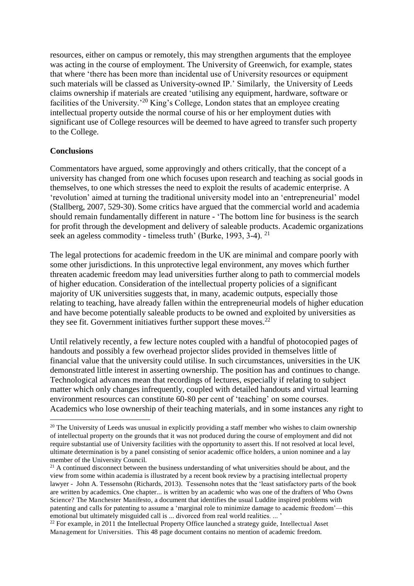resources, either on campus or remotely, this may strengthen arguments that the employee was acting in the course of employment. The University of Greenwich, for example, states that where 'there has been more than incidental use of University resources or equipment such materials will be classed as University-owned IP.' Similarly, the University of Leeds claims ownership if materials are created 'utilising any equipment, hardware, software or facilities of the University.'<sup>20</sup> King's College, London states that an employee creating intellectual property outside the normal course of his or her employment duties with significant use of College resources will be deemed to have agreed to transfer such property to the College.

# **Conclusions**

<u>.</u>

Commentators have argued, some approvingly and others critically, that the concept of a university has changed from one which focuses upon research and teaching as social goods in themselves, to one which stresses the need to exploit the results of academic enterprise. A 'revolution' aimed at turning the traditional university model into an 'entrepreneurial' model (Stallberg, 2007, 529-30). Some critics have argued that the commercial world and academia should remain fundamentally different in nature - 'The bottom line for business is the search for profit through the development and delivery of saleable products. Academic organizations seek an ageless commodity - timeless truth' (Burke, 1993, 3-4). <sup>21</sup>

The legal protections for academic freedom in the UK are minimal and compare poorly with some other jurisdictions. In this unprotective legal environment, any moves which further threaten academic freedom may lead universities further along to path to commercial models of higher education. Consideration of the intellectual property policies of a significant majority of UK universities suggests that, in many, academic outputs, especially those relating to teaching, have already fallen within the entrepreneurial models of higher education and have become potentially saleable products to be owned and exploited by universities as they see fit. Government initiatives further support these moves. $^{22}$ 

Until relatively recently, a few lecture notes coupled with a handful of photocopied pages of handouts and possibly a few overhead projector slides provided in themselves little of financial value that the university could utilise. In such circumstances, universities in the UK demonstrated little interest in asserting ownership. The position has and continues to change. Technological advances mean that recordings of lectures, especially if relating to subject matter which only changes infrequently, coupled with detailed handouts and virtual learning environment resources can constitute 60-80 per cent of 'teaching' on some courses. Academics who lose ownership of their teaching materials, and in some instances any right to

<sup>&</sup>lt;sup>20</sup> The University of Leeds was unusual in explicitly providing a staff member who wishes to claim ownership of intellectual property on the grounds that it was not produced during the course of employment and did not require substantial use of University facilities with the opportunity to assert this. If not resolved at local level, ultimate determination is by a panel consisting of senior academic office holders, a union nominee and a lay member of the University Council.

<sup>&</sup>lt;sup>21</sup> A continued disconnect between the business understanding of what universities should be about, and the view from some within academia is illustrated by a recent book review by a practising intellectual property lawyer - John A. Tessensohn (Richards, 2013). Tessensohn notes that the 'least satisfactory parts of the book are written by academics. One chapter... is written by an academic who was one of the drafters of Who Owns Science? The Manchester Manifesto, a document that identifies the usual Luddite inspired problems with patenting and calls for patenting to assume a 'marginal role to minimize damage to academic freedom'—this emotional but ultimately misguided call is ... divorced from real world realities. ... '

 $22$  For example, in 2011 the Intellectual Property Office launched a strategy guide, Intellectual Asset Management for Universities. This 48 page document contains no mention of academic freedom.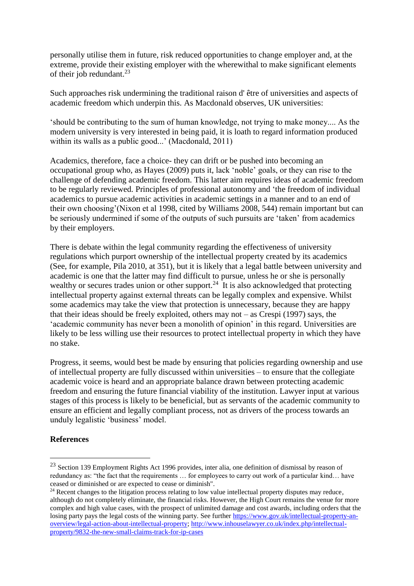personally utilise them in future, risk reduced opportunities to change employer and, at the extreme, provide their existing employer with the wherewithal to make significant elements of their job redundant. $^{23}$ 

Such approaches risk undermining the traditional raison d' être of universities and aspects of academic freedom which underpin this. As Macdonald observes, UK universities:

'should be contributing to the sum of human knowledge, not trying to make money.... As the modern university is very interested in being paid, it is loath to regard information produced within its walls as a public good...' (Macdonald, 2011)

Academics, therefore, face a choice- they can drift or be pushed into becoming an occupational group who, as Hayes (2009) puts it, lack 'noble' goals, or they can rise to the challenge of defending academic freedom. This latter aim requires ideas of academic freedom to be regularly reviewed. Principles of professional autonomy and 'the freedom of individual academics to pursue academic activities in academic settings in a manner and to an end of their own choosing'(Nixon et al 1998, cited by Williams 2008, 544) remain important but can be seriously undermined if some of the outputs of such pursuits are 'taken' from academics by their employers.

There is debate within the legal community regarding the effectiveness of university regulations which purport ownership of the intellectual property created by its academics (See, for example, Pila 2010, at 351), but it is likely that a legal battle between university and academic is one that the latter may find difficult to pursue, unless he or she is personally wealthy or secures trades union or other support.<sup>24</sup> It is also acknowledged that protecting intellectual property against external threats can be legally complex and expensive. Whilst some academics may take the view that protection is unnecessary, because they are happy that their ideas should be freely exploited, others may not – as Crespi (1997) says, the 'academic community has never been a monolith of opinion' in this regard. Universities are likely to be less willing use their resources to protect intellectual property in which they have no stake.

Progress, it seems, would best be made by ensuring that policies regarding ownership and use of intellectual property are fully discussed within universities – to ensure that the collegiate academic voice is heard and an appropriate balance drawn between protecting academic freedom and ensuring the future financial viability of the institution. Lawyer input at various stages of this process is likely to be beneficial, but as servants of the academic community to ensure an efficient and legally compliant process, not as drivers of the process towards an unduly legalistic 'business' model.

#### **References**

<sup>&</sup>lt;sup>23</sup> Section 139 Employment Rights Act 1996 provides, inter alia, one definition of dismissal by reason of redundancy as: "the fact that the requirements … for employees to carry out work of a particular kind… have ceased or diminished or are expected to cease or diminish".

<sup>&</sup>lt;sup>24</sup> Recent changes to the litigation process relating to low value intellectual property disputes may reduce, although do not completely eliminate, the financial risks. However, the High Court remains the venue for more complex and high value cases, with the prospect of unlimited damage and cost awards, including orders that the losing party pays the legal costs of the winning party. See further [https://www.gov.uk/intellectual-property-an](https://www.gov.uk/intellectual-property-an-overview/legal-action-about-intellectual-property)[overview/legal-action-about-intellectual-property;](https://www.gov.uk/intellectual-property-an-overview/legal-action-about-intellectual-property) [http://www.inhouselawyer.co.uk/index.php/intellectual](http://www.inhouselawyer.co.uk/index.php/intellectual-property/9832-the-new-small-claims-track-for-ip-cases)[property/9832-the-new-small-claims-track-for-ip-cases](http://www.inhouselawyer.co.uk/index.php/intellectual-property/9832-the-new-small-claims-track-for-ip-cases)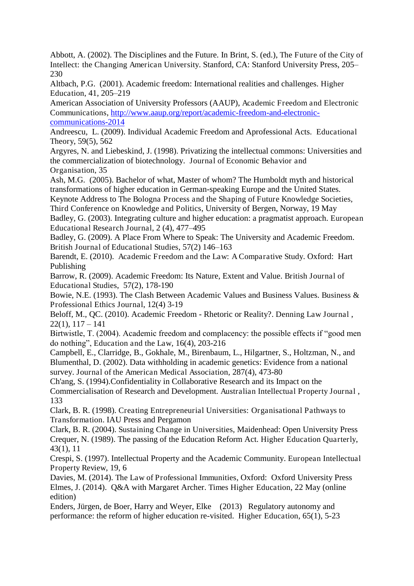Abbott, A. (2002). The Disciplines and the Future. In Brint, S. (ed.), The Future of the City of Intellect: the Changing American University. Stanford, CA: Stanford University Press, 205– 230

Altbach, P.G. (2001). Academic freedom: International realities and challenges. Higher Education, 41, 205–219

American Association of University Professors (AAUP), Academic Freedom and Electronic Communications, [http://www.aaup.org/report/academic-freedom-and-electronic](http://www.aaup.org/report/academic-freedom-and-electronic-communications-2014)[communications-2014](http://www.aaup.org/report/academic-freedom-and-electronic-communications-2014)

Andreescu, L. (2009). Individual Academic Freedom and Aprofessional Acts. Educational Theory, 59(5), 562

Argyres, N. and Liebeskind, J. (1998). Privatizing the intellectual commons: Universities and the commercialization of biotechnology. Journal of Economic Behavior and Organisation, 35

Ash, M.G. (2005). Bachelor of what, Master of whom? The Humboldt myth and historical transformations of higher education in German-speaking Europe and the United States.

Keynote Address to The Bologna Process and the Shaping of Future Knowledge Societies, Third Conference on Knowledge and Politics, University of Bergen, Norway, 19 May

Badley, G. (2003). Integrating culture and higher education: a pragmatist approach. European Educational Research Journal, 2 (4), 477–495

Badley, G. (2009). A Place From Where to Speak: The University and Academic Freedom. British Journal of Educational Studies, 57(2) 146–163

Barendt, E. (2010). Academic Freedom and the Law: A Comparative Study. Oxford: Hart Publishing

Barrow, R. (2009). Academic Freedom: Its Nature, Extent and Value. British Journal of Educational Studies, 57(2), 178-190

Bowie, N.E. (1993). The Clash Between Academic Values and Business Values. Business & Professional Ethics Journal, 12(4) 3-19

Beloff, M., QC. (2010). Academic Freedom - Rhetoric or Reality?. Denning Law Journal ,  $22(1), 117 - 141$ 

Birtwistle, T. (2004). Academic freedom and complacency: the possible effects if "good men do nothing", Education and the Law, 16(4), 203-216

Campbell, E., Clarridge, B., Gokhale, M., Birenbaum, L., Hilgartner, S., Holtzman, N., and Blumenthal, D. (2002). Data withholding in academic genetics: Evidence from a national survey. Journal of the American Medical Association, 287(4), 473-80

Ch'ang, S. (1994).Confidentiality in Collaborative Research and its Impact on the Commercialisation of Research and Development. Australian Intellectual Property Journal , 133

Clark, B. R. (1998). Creating Entrepreneurial Universities: Organisational Pathways to Transformation. IAU Press and Pergamon

Clark, B. R. (2004). Sustaining Change in Universities, Maidenhead: Open University Press Crequer, N. (1989). The passing of the Education Reform Act. Higher Education Quarterly, 43(1), 11

Crespi, S. (1997). Intellectual Property and the Academic Community. European Intellectual Property Review, 19, 6

Davies, M. (2014). The Law of Professional Immunities, Oxford: Oxford University Press Elmes, J. (2014). Q&A with Margaret Archer. Times Higher Education, 22 May (online edition)

Enders, Jürgen, de Boer, Harry and Weyer, Elke (2013) Regulatory autonomy and performance: the reform of higher education re-visited. Higher Education, 65(1), 5-23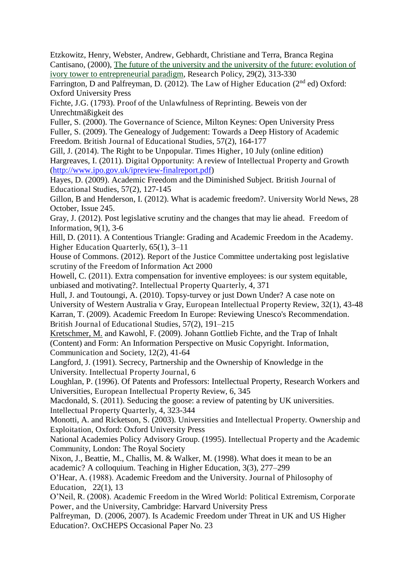Etzkowitz, Henry, Webster, Andrew, Gebhardt, Christiane and Terra, Branca Regina Cantisano, (2000), [The future of the university and the university of the future: evolution of](http://econpapers.repec.org/RePEc:eee:respol:v:29:y:2000:i:2:p:313-330)  [ivory tower to entrepreneurial paradigm,](http://econpapers.repec.org/RePEc:eee:respol:v:29:y:2000:i:2:p:313-330) Research Policy, 29(2), 313-330

Farrington, D and Palfreyman, D. (2012). The Law of Higher Education (2<sup>nd</sup> ed) Oxford: Oxford University Press

Fichte, J.G. (1793). Proof of the Unlawfulness of Reprinting. Beweis von der Unrechtmäßigkeit des

Fuller, S. (2000). The Governance of Science, Milton Keynes: Open University Press Fuller, S. (2009). The Genealogy of Judgement: Towards a Deep History of Academic Freedom. British Journal of Educational Studies, 57(2), 164-177

Gill, J. (2014). The Right to be Unpopular. Times Higher, 10 July (online edition) Hargreaves, I. (2011). Digital Opportunity: A review of Intellectual Property and Growth [\(http://www.ipo.gov.uk/ipreview-finalreport.pdf\)](http://www.ipo.gov.uk/ipreview-finalreport.pdf)

Hayes, D. (2009). Academic Freedom and the Diminished Subject. British Journal of Educational Studies, 57(2), 127-145

Gillon, B and Henderson, I. (2012). What is academic freedom?. University World News, 28 October, Issue 245.

Gray, J. (2012). Post legislative scrutiny and the changes that may lie ahead. Freedom of Information,  $9(1)$ ,  $3-6$ 

Hill, D. (2011). A Contentious Triangle: Grading and Academic Freedom in the Academy. Higher Education Quarterly, 65(1), 3–11

House of Commons. (2012). Report of the Justice Committee undertaking post legislative scrutiny of the Freedom of Information Act 2000

Howell, C. (2011). Extra compensation for inventive employees: is our system equitable, unbiased and motivating?. Intellectual Property Quarterly, 4, 371

Hull, J. and Toutoungi, A. (2010). Topsy-turvey or just Down Under? A case note on University of Western Australia v Gray, European Intellectual Property Review, 32(1), 43-48 Karran, T. (2009). Academic Freedom In Europe: Reviewing Unesco's Recommendation. British Journal of Educational Studies, 57(2), 191–215

[Kretschmer, M.](http://staffprofiles.bournemouth.ac.uk/display/mkretschmer) and Kawohl, F. (2009). Johann Gottlieb Fichte, and the Trap of Inhalt (Content) and Form: An Information Perspective on Music Copyright. Information, Communication and Society, 12(2), 41-64

Langford, J. (1991). Secrecy, Partnership and the Ownership of Knowledge in the University. Intellectual Property Journal, 6

Loughlan, P. (1996). Of Patents and Professors: Intellectual Property, Research Workers and Universities, European Intellectual Property Review, 6, 345

Macdonald, S. (2011). Seducing the goose: a review of patenting by UK universities. Intellectual Property Quarterly, 4, 323-344

Monotti, A. and Ricketson, S. (2003). Universities and Intellectual Property. Ownership and Exploitation, Oxford: Oxford University Press

National Academies Policy Advisory Group. (1995). Intellectual Property and the Academic Community, London: The Royal Society

Nixon, J., Beattie, M., Challis, M. & Walker, M. (1998). What does it mean to be an academic? A colloquium. Teaching in Higher Education, 3(3), 277–299

O'Hear, A. (1988). Academic Freedom and the University. Journal of Philosophy of Education, 22(1), 13

O'Neil, R. (2008). Academic Freedom in the Wired World: Political Extremism, Corporate Power, and the University, Cambridge: Harvard University Press

Palfreyman, D. (2006, 2007). Is Academic Freedom under Threat in UK and US Higher Education?. OxCHEPS Occasional Paper No. 23